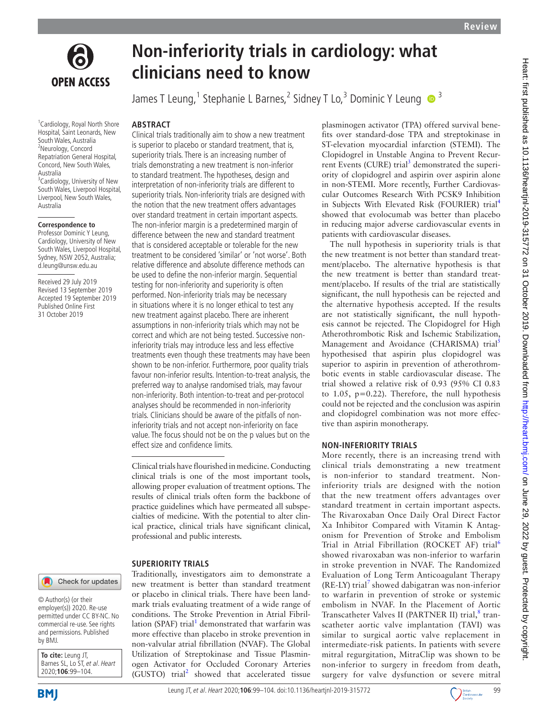

1 Cardiology, Royal North Shore Hospital, Saint Leonards, New South Wales, Australia <sup>2</sup>Neurology, Concord Repatriation General Hospital, Concord, New South Wales, Australia <sup>3</sup> Cardiology, University of New South Wales, Liverpool Hospital, Liverpool, New South Wales, Australia

#### **Correspondence to**

Professor Dominic Y Leung, Cardiology, University of New South Wales, Liverpool Hospital, Sydney, NSW 2052, Australia; d.leung@unsw.edu.au

Received 29 July 2019 Revised 13 September 2019 Accepted 19 September 2019 Published Online First 31 October 2019

# **ABSTRACT**

Clinical trials traditionally aim to show a new treatment is superior to placebo or standard treatment, that is, superiority trials. There is an increasing number of trials demonstrating a new treatment is non-inferior to standard treatment. The hypotheses, design and interpretation of non-inferiority trials are different to superiority trials. Non-inferiority trials are designed with the notion that the new treatment offers advantages over standard treatment in certain important aspects. The non-inferior margin is a predetermined margin of difference between the new and standard treatment that is considered acceptable or tolerable for the new treatment to be considered 'similar' or 'not worse'. Both relative difference and absolute difference methods can be used to define the non-inferior margin. Sequential testing for non-inferiority and superiority is often performed. Non-inferiority trials may be necessary in situations where it is no longer ethical to test any new treatment against placebo. There are inherent assumptions in non-inferiority trials which may not be correct and which are not being tested. Successive noninferiority trials may introduce less and less effective treatments even though these treatments may have been shown to be non-inferior. Furthermore, poor quality trials favour non-inferior results. Intention-to-treat analysis, the preferred way to analyse randomised trials, may favour non-inferiority. Both intention-to-treat and per-protocol analyses should be recommended in non-inferiority trials. Clinicians should be aware of the pitfalls of noninferiority trials and not accept non-inferiority on face value. The focus should not be on the p values but on the effect size and confidence limits.

**clinicians need to know**

**Non-inferiority trials in cardiology: what** 

James T Leung,<sup>1</sup> Stephanie L Barnes,<sup>2</sup> Sidney T Lo,<sup>3</sup> Dominic Y Leung <sup>1</sup>

Clinical trials have flourished in medicine. Conducting clinical trials is one of the most important tools, allowing proper evaluation of treatment options. The results of clinical trials often form the backbone of practice guidelines which have permeated all subspecialties of medicine. With the potential to alter clinical practice, clinical trials have significant clinical, professional and public interests.

#### **Superiority trials**

#### Check for updates

© Author(s) (or their employer(s)) 2020. Re-use permitted under CC BY-NC. No commercial re-use. See rights and permissions. Published by BMJ.

**To cite:** Leung JT, Barnes SL, Lo ST, et al. Heart 2020;**106**:99–104.

**BMI** 

Traditionally, investigators aim to demonstrate a new treatment is better than standard treatment or placebo in clinical trials. There have been landmark trials evaluating treatment of a wide range of conditions. The Stroke Prevention in Atrial Fibril-lation (SPAF) trial<sup>[1](#page-4-0)</sup> demonstrated that warfarin was more effective than placebo in stroke prevention in non-valvular atrial fibrillation (NVAF). The Global Utilization of Streptokinase and Tissue Plasminogen Activator for Occluded Coronary Arteries (GUSTO) trial<sup>2</sup> showed that accelerated tissue plasminogen activator (TPA) offered survival benefits over standard-dose TPA and streptokinase in ST-elevation myocardial infarction (STEMI). The Clopidogrel in Unstable Angina to Prevent Recur-rent Events (CURE) trial<sup>[3](#page-4-2)</sup> demonstrated the superiority of clopidogrel and aspirin over aspirin alone in non-STEMI. More recently, Further Cardiovascular Outcomes Research With PCSK9 Inhibition in Subjects With Elevated Risk (FOURIER) trial[4](#page-4-3) showed that evolocumab was better than placebo in reducing major adverse cardiovascular events in patients with cardiovascular diseases.

The null hypothesis in superiority trials is that the new treatment is not better than standard treatment/placebo. The alternative hypothesis is that the new treatment is better than standard treatment/placebo. If results of the trial are statistically significant, the null hypothesis can be rejected and the alternative hypothesis accepted. If the results are not statistically significant, the null hypothesis cannot be rejected. The Clopidogrel for High Atherothrombotic Risk and Ischemic Stabilization, Management and Avoidance (CHARISMA) trial<sup>3</sup> hypothesised that aspirin plus clopidogrel was superior to aspirin in prevention of atherothrombotic events in stable cardiovascular disease. The trial showed a relative risk of 0.93 (95% CI 0.83 to 1.05,  $p=0.22$ ). Therefore, the null hypothesis could not be rejected and the conclusion was aspirin and clopidogrel combination was not more effective than aspirin monotherapy.

#### **Non-inferiority trials**

More recently, there is an increasing trend with clinical trials demonstrating a new treatment is non-inferior to standard treatment. Noninferiority trials are designed with the notion that the new treatment offers advantages over standard treatment in certain important aspects. The Rivaroxaban Once Daily Oral Direct Factor Xa Inhibitor Compared with Vitamin K Antagonism for Prevention of Stroke and Embolism Trial in Atrial Fibrillation (ROCKET AF) trial<sup>[6](#page-4-5)</sup> showed rivaroxaban was non-inferior to warfarin in stroke prevention in NVAF. The Randomized Evaluation of Long Term Anticoagulant Therapy (RE-LY) trial<sup>[7](#page-4-6)</sup> showed dabigatran was non-inferior to warfarin in prevention of stroke or systemic embolism in NVAF. In the Placement of Aortic Transcatheter Valves II (PARTNER II) trial,<sup>[8](#page-4-7)</sup> transcatheter aortic valve implantation (TAVI) was similar to surgical aortic valve replacement in intermediate-risk patients. In patients with severe mitral regurgitation, MitraClip was shown to be non-inferior to surgery in freedom from death, surgery for valve dysfunction or severe mitral

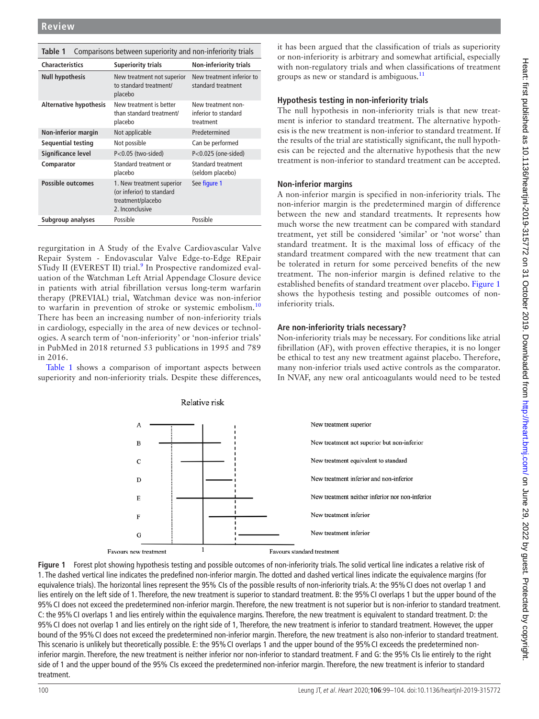<span id="page-1-1"></span>

| Comparisons between superiority and non-inferiority trials<br>Table 1 |                                                                                                |                                                         |  |  |  |  |  |  |  |
|-----------------------------------------------------------------------|------------------------------------------------------------------------------------------------|---------------------------------------------------------|--|--|--|--|--|--|--|
| <b>Characteristics</b>                                                | <b>Superiority trials</b>                                                                      | <b>Non-inferiority trials</b>                           |  |  |  |  |  |  |  |
| <b>Null hypothesis</b>                                                | New treatment not superior<br>to standard treatment/<br>placebo                                | New treatment inferior to<br>standard treatment         |  |  |  |  |  |  |  |
| <b>Alternative hypothesis</b>                                         | New treatment is better<br>than standard treatment/<br>placebo                                 | New treatment non-<br>inferior to standard<br>treatment |  |  |  |  |  |  |  |
| Non-inferior margin                                                   | Not applicable                                                                                 | Predetermined                                           |  |  |  |  |  |  |  |
| Sequential testing                                                    | Not possible                                                                                   | Can be performed<br>$P<0.025$ (one-sided)               |  |  |  |  |  |  |  |
| Significance level                                                    | $P<0.05$ (two-sided)                                                                           |                                                         |  |  |  |  |  |  |  |
| Comparator                                                            | Standard treatment or<br>placebo                                                               | Standard treatment<br>(seldom placebo)                  |  |  |  |  |  |  |  |
| <b>Possible outcomes</b>                                              | 1. New treatment superior<br>(or inferior) to standard<br>treatment/placebo<br>2. Inconclusive | See figure 1                                            |  |  |  |  |  |  |  |
| Subgroup analyses                                                     | Possible                                                                                       | Possible                                                |  |  |  |  |  |  |  |

regurgitation in A Study of the Evalve Cardiovascular Valve Repair System - Endovascular Valve Edge-to-Edge REpair STudy II (EVEREST II) trial.<sup>[9](#page-4-8)</sup> In Prospective randomized evaluation of the Watchman Left Atrial Appendage Closure device in patients with atrial fibrillation versus long-term warfarin therapy (PREVIAL) trial, Watchman device was non-inferior to warfarin in prevention of stroke or systemic embolism.<sup>[10](#page-4-9)</sup> There has been an increasing number of non-inferiority trials in cardiology, especially in the area of new devices or technologies. A search term of 'non-inferiority' or 'non-inferior trials' in PubMed in 2018 returned 53 publications in 1995 and 789 in 2016.

[Table](#page-1-1) 1 shows a comparison of important aspects between superiority and non-inferiority trials. Despite these differences, it has been argued that the classification of trials as superiority or non-inferiority is arbitrary and somewhat artificial, especially with non-regulatory trials and when classifications of treatment groups as new or standard is ambiguous. $11$ 

## **Hypothesis testing in non-inferiority trials**

The null hypothesis in non-inferiority trials is that new treatment is inferior to standard treatment. The alternative hypothesis is the new treatment is non-inferior to standard treatment. If the results of the trial are statistically significant, the null hypothesis can be rejected and the alternative hypothesis that the new treatment is non-inferior to standard treatment can be accepted.

## **Non-inferior margins**

A non-inferior margin is specified in non-inferiority trials. The non-inferior margin is the predetermined margin of difference between the new and standard treatments. It represents how much worse the new treatment can be compared with standard treatment, yet still be considered 'similar' or 'not worse' than standard treatment. It is the maximal loss of efficacy of the standard treatment compared with the new treatment that can be tolerated in return for some perceived benefits of the new treatment. The non-inferior margin is defined relative to the established benefits of standard treatment over placebo. [Figure](#page-1-0) 1 shows the hypothesis testing and possible outcomes of noninferiority trials.

# **Are non-inferiority trials necessary?**

Non-inferiority trials may be necessary. For conditions like atrial fibrillation (AF), with proven effective therapies, it is no longer be ethical to test any new treatment against placebo. Therefore, many non-inferior trials used active controls as the comparator. In NVAF, any new oral anticoagulants would need to be tested



<span id="page-1-0"></span>**Figure 1** Forest plot showing hypothesis testing and possible outcomes of non-inferiority trials. The solid vertical line indicates a relative risk of 1. The dashed vertical line indicates the predefined non-inferior margin. The dotted and dashed vertical lines indicate the equivalence margins (for equivalence trials). The horizontal lines represent the 95% CIs of the possible results of non-inferiority trials. A: the 95%CI does not overlap 1 and lies entirely on the left side of 1. Therefore, the new treatment is superior to standard treatment. B: the 95%CI overlaps 1 but the upper bound of the 95%CI does not exceed the predetermined non-inferior margin. Therefore, the new treatment is not superior but is non-inferior to standard treatment. C: the 95%CI overlaps 1 and lies entirely within the equivalence margins. Therefore, the new treatment is equivalent to standard treatment. D: the 95%CI does not overlap 1 and lies entirely on the right side of 1, Therefore, the new treatment is inferior to standard treatment. However, the upper bound of the 95%CI does not exceed the predetermined non-inferior margin. Therefore, the new treatment is also non-inferior to standard treatment. This scenario is unlikely but theoretically possible. E: the 95%CI overlaps 1 and the upper bound of the 95%CI exceeds the predetermined noninferior margin. Therefore, the new treatment is neither inferior nor non-inferior to standard treatment. F and G: the 95% CIs lie entirely to the right side of 1 and the upper bound of the 95% CIs exceed the predetermined non-inferior margin. Therefore, the new treatment is inferior to standard treatment.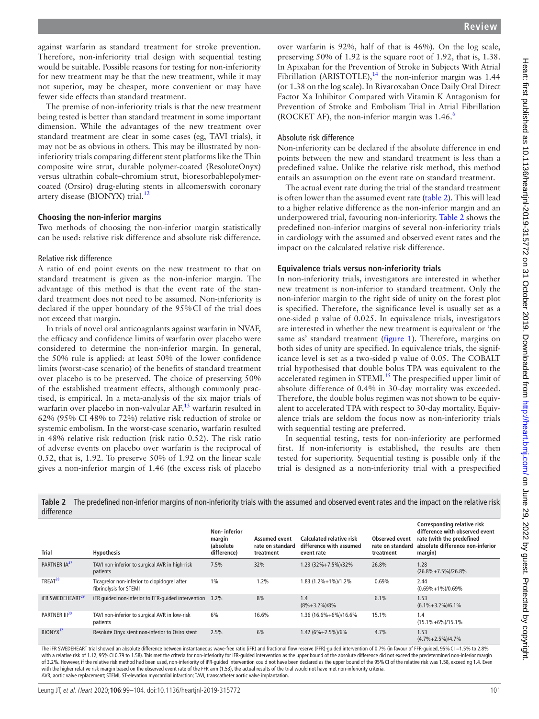against warfarin as standard treatment for stroke prevention. Therefore, non-inferiority trial design with sequential testing would be suitable. Possible reasons for testing for non-inferiority for new treatment may be that the new treatment, while it may not superior, may be cheaper, more convenient or may have fewer side effects than standard treatment.

The premise of non-inferiority trials is that the new treatment being tested is better than standard treatment in some important dimension. While the advantages of the new treatment over standard treatment are clear in some cases (eg, TAVI trials), it may not be as obvious in others. This may be illustrated by noninferiority trials comparing different stent platforms like the Thin composite wire strut, durable polymer-coated (ResoluteOnyx) versus ultrathin cobalt–chromium strut, bioresorbablepolymercoated (Orsiro) drug-eluting stents in allcomerswith coronary artery disease (BIONYX) trial.<sup>[12](#page-4-11)</sup>

## **Choosing the non-inferior margins**

Two methods of choosing the non-inferior margin statistically can be used: relative risk difference and absolute risk difference.

#### Relative risk difference

A ratio of end point events on the new treatment to that on standard treatment is given as the non-inferior margin. The advantage of this method is that the event rate of the standard treatment does not need to be assumed. Non-inferiority is declared if the upper boundary of the 95%CI of the trial does not exceed that margin.

In trials of novel oral anticoagulants against warfarin in NVAF, the efficacy and confidence limits of warfarin over placebo were considered to determine the non-inferior margin. In general, the 50% rule is applied: at least 50% of the lower confidence limits (worst-case scenario) of the benefits of standard treatment over placebo is to be preserved. The choice of preserving 50% of the established treatment effects, although commonly practised, is empirical. In a meta-analysis of the six major trials of warfarin over placebo in non-valvular AF,<sup>[13](#page-4-12)</sup> warfarin resulted in 62% (95% CI 48% to 72%) relative risk reduction of stroke or systemic embolism. In the worst-case scenario, warfarin resulted in 48% relative risk reduction (risk ratio 0.52). The risk ratio of adverse events on placebo over warfarin is the reciprocal of 0.52, that is, 1.92. To preserve 50% of 1.92 on the linear scale gives a non-inferior margin of 1.46 (the excess risk of placebo

over warfarin is 92%, half of that is 46%). On the log scale, preserving 50% of 1.92 is the square root of 1.92, that is, 1.38. In Apixaban for the Prevention of Stroke in Subjects With Atrial Fibrillation (ARISTOTLE), $^{14}$  the non-inferior margin was 1.44 (or 1.38 on the log scale). In Rivaroxaban Once Daily Oral Direct Factor Xa Inhibitor Compared with Vitamin K Antagonism for Prevention of Stroke and Embolism Trial in Atrial Fibrillation (ROCKET AF), the non-inferior margin was  $1.46<sup>6</sup>$ 

## Absolute risk difference

Non-inferiority can be declared if the absolute difference in end points between the new and standard treatment is less than a predefined value. Unlike the relative risk method, this method entails an assumption on the event rate on standard treatment.

The actual event rate during the trial of the standard treatment is often lower than the assumed event rate ([table](#page-2-0) 2). This will lead to a higher relative difference as the non-inferior margin and an underpowered trial, favouring non-inferiority. [Table](#page-2-0) 2 shows the predefined non-inferior margins of several non-inferiority trials in cardiology with the assumed and observed event rates and the impact on the calculated relative risk difference.

## **Equivalence trials versus non-inferiority trials**

In non-inferiority trials, investigators are interested in whether new treatment is non-inferior to standard treatment. Only the non-inferior margin to the right side of unity on the forest plot is specified. Therefore, the significance level is usually set as a one-sided p value of 0.025. In equivalence trials, investigators are interested in whether the new treatment is equivalent or 'the same as' standard treatment [\(figure](#page-1-0) 1). Therefore, margins on both sides of unity are specified. In equivalence trials, the significance level is set as a two-sided p value of 0.05. The COBALT trial hypothesised that double bolus TPA was equivalent to the accelerated regimen in STEMI.<sup>[15](#page-4-14)</sup> The prespecified upper limit of absolute difference of 0.4% in 30-day mortality was exceeded. Therefore, the double bolus regimen was not shown to be equivalent to accelerated TPA with respect to 30-day mortality. Equivalence trials are seldom the focus now as non-inferiority trials with sequential testing are preferred.

In sequential testing, tests for non-inferiority are performed first. If non-inferiority is established, the results are then tested for superiority. Sequential testing is possible only if the trial is designed as a non-inferiority trial with a prespecified

| difference |                                    |                                                                        |                                                     |                                                |                                                                   |                                                 |                                                                                                                                           |  |  |
|------------|------------------------------------|------------------------------------------------------------------------|-----------------------------------------------------|------------------------------------------------|-------------------------------------------------------------------|-------------------------------------------------|-------------------------------------------------------------------------------------------------------------------------------------------|--|--|
|            | <b>Trial</b>                       | <b>Hypothesis</b>                                                      | Non-inferior<br>margin<br>(absolute)<br>difference) | Assumed event<br>rate on standard<br>treatment | Calculated relative risk<br>difference with assumed<br>event rate | Observed event<br>rate on standard<br>treatment | Corresponding relative risk<br>difference with observed event<br>rate (with the predefined<br>absolute difference non-inferior<br>margin) |  |  |
|            | PARTNER IA <sup>27</sup>           | TAVI non-inferior to surgical AVR in high-risk<br>patients             | 7.5%                                                | 32%                                            | 1.23 (32%+7.5%)/32%                                               | 26.8%                                           | 1.28<br>$(26.8\% + 7.5\%)$ /26.8%                                                                                                         |  |  |
|            | TREAT <sup>28</sup>                | Ticagrelor non-inferior to clopidogrel after<br>fibrinolysis for STEMI | 1%                                                  | 1.2%                                           | 1.83 (1.2%+1%)/1.2%                                               | 0.69%                                           | 2.44<br>$(0.69\% + 1\%) / 0.69\%$                                                                                                         |  |  |
|            | <b>IFR SWEDEHEART<sup>29</sup></b> | iFR quided non-inferior to FFR-quided intervention 3.2%                |                                                     | 8%                                             | 1.4<br>$(8\% + 3.2\%)/8\%$                                        | 6.1%                                            | 1.53<br>$(6.1\% + 3.2\%)/6.1\%$                                                                                                           |  |  |
|            | PARTNER III <sup>30</sup>          | TAVI non-inferior to surgical AVR in low-risk<br>patients              | 6%                                                  | 16.6%                                          | 1.36 (16.6%+6%)/16.6%                                             | 15.1%                                           | 1.4<br>$(15.1\% + 6\%) / 15.1\%$                                                                                                          |  |  |
|            | BIONYX <sup>12</sup>               | Resolute Onyx stent non-inferior to Osiro stent                        | 2.5%                                                | 6%                                             | 1.42 (6%+2.5%)/6%                                                 | 4.7%                                            | 1.53<br>$(4.7\% + 2.5\%)/4.7\%$                                                                                                           |  |  |

<span id="page-2-0"></span>**Table 2** The predefined non-inferior margins of non-inferiority trials with the assumed and observed event rates and the impact on the relative risk

The iFR SWEDEHEART trial showed an absolute difference between instantaneous wave-free ratio (iFR) and fractional flow reserve (FFR)-guided intervention of 0.7% (in favour of FFR-guided, 95% CI −1.5% to 2.8% with a relative risk of 1.12, 95% CI 0.79 to 1.58). This met the criteria for non-inferiority for iFR-guided intervention as the upper bound of the absolute difference did not exceed the predetermined non-inferior margin of 3.2%. However, if the relative risk method had been used, non-inferiority of iFR-guided intervention could not have been declared as the upper bound of the 95%CI of the relative risk was 1.58, exceeding 1.4. Even with the higher relative risk margin based on the observed event rate of the FFR arm (1.53), the actual results of the trial would not have met non-inferiority criteria. AVR, aortic valve replacement; STEMI, ST-elevation myocardial infarction; TAVI, transcatheter aortic valve implantation.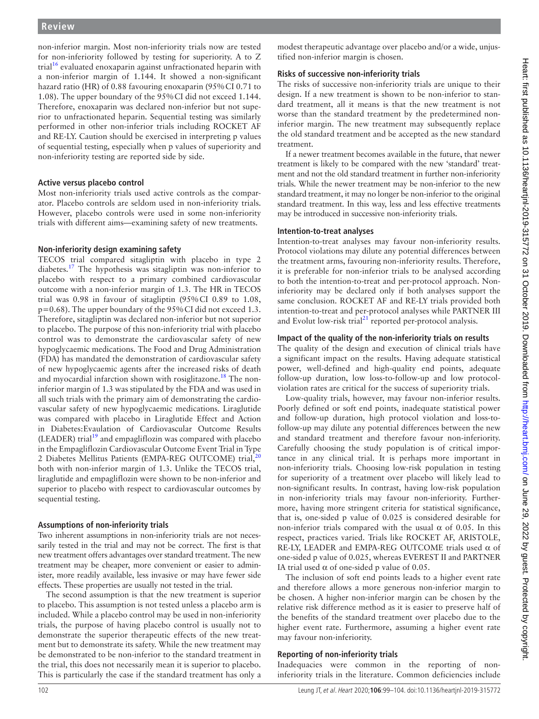## **Review**

non-inferior margin. Most non-inferiority trials now are tested for non-inferiority followed by testing for superiority. A to Z trial<sup>[16](#page-4-15)</sup> evaluated enoxaparin against unfractionated heparin with a non-inferior margin of 1.144. It showed a non-significant hazard ratio (HR) of 0.88 favouring enoxaparin (95%CI 0.71 to 1.08). The upper boundary of the 95%CI did not exceed 1.144. Therefore, enoxaparin was declared non-inferior but not superior to unfractionated heparin. Sequential testing was similarly performed in other non-inferior trials including ROCKET AF and RE-LY. Caution should be exercised in interpreting p values of sequential testing, especially when p values of superiority and non-inferiority testing are reported side by side.

## **Active versus placebo control**

Most non-inferiority trials used active controls as the comparator. Placebo controls are seldom used in non-inferiority trials. However, placebo controls were used in some non-inferiority trials with different aims—examining safety of new treatments.

## **Non-inferiority design examining safety**

TECOS trial compared sitagliptin with placebo in type 2 diabetes.<sup>[17](#page-4-16)</sup> The hypothesis was sitagliptin was non-inferior to placebo with respect to a primary combined cardiovascular outcome with a non-inferior margin of 1.3. The HR in TECOS trial was 0.98 in favour of sitagliptin (95%CI 0.89 to 1.08, p=0.68). The upper boundary of the 95%CI did not exceed 1.3. Therefore, sitagliptin was declared non-inferior but not superior to placebo. The purpose of this non-inferiority trial with placebo control was to demonstrate the cardiovascular safety of new hypoglycaemic medications. The Food and Drug Administration (FDA) has mandated the demonstration of cardiovascular safety of new hypoglycaemic agents after the increased risks of death and myocardial infarction shown with rosiglitazone.<sup>[18](#page-4-17)</sup> The noninferior margin of 1.3 was stipulated by the FDA and was used in all such trials with the primary aim of demonstrating the cardiovascular safety of new hypoglycaemic medications. Liraglutide was compared with placebo in Liraglutide Effect and Action in Diabetes:Evaulation of Cardiovascular Outcome Results (LEADER) trial<sup>[19](#page-4-18)</sup> and empagliflozin was compared with placebo in the Empagliflozin Cardiovascular Outcome Event Trial in Type 2 Diabetes Mellitus Patients (EMPA-REG OUTCOME) trial,<sup>2</sup> both with non-inferior margin of 1.3. Unlike the TECOS trial, liraglutide and empagliflozin were shown to be non-inferior and superior to placebo with respect to cardiovascular outcomes by sequential testing.

## **Assumptions of non-inferiority trials**

Two inherent assumptions in non-inferiority trials are not necessarily tested in the trial and may not be correct. The first is that new treatment offers advantages over standard treatment. The new treatment may be cheaper, more convenient or easier to administer, more readily available, less invasive or may have fewer side effects. These properties are usually not tested in the trial.

The second assumption is that the new treatment is superior to placebo. This assumption is not tested unless a placebo arm is included. While a placebo control may be used in non-inferiority trials, the purpose of having placebo control is usually not to demonstrate the superior therapeutic effects of the new treatment but to demonstrate its safety. While the new treatment may be demonstrated to be non-inferior to the standard treatment in the trial, this does not necessarily mean it is superior to placebo. This is particularly the case if the standard treatment has only a

modest therapeutic advantage over placebo and/or a wide, unjustified non-inferior margin is chosen.

## **Risks of successive non-inferiority trials**

The risks of successive non-inferiority trials are unique to their design. If a new treatment is shown to be non-inferior to standard treatment, all it means is that the new treatment is not worse than the standard treatment by the predetermined noninferior margin. The new treatment may subsequently replace the old standard treatment and be accepted as the new standard treatment.

If a newer treatment becomes available in the future, that newer treatment is likely to be compared with the new 'standard' treatment and not the old standard treatment in further non-inferiority trials. While the newer treatment may be non-inferior to the new standard treatment, it may no longer be non-inferior to the original standard treatment. In this way, less and less effective treatments may be introduced in successive non-inferiority trials.

## **Intention-to-treat analyses**

Intention-to-treat analyses may favour non-inferiority results. Protocol violations may dilute any potential differences between the treatment arms, favouring non-inferiority results. Therefore, it is preferable for non-inferior trials to be analysed according to both the intention-to-treat and per-protocol approach. Noninferiority may be declared only if both analyses support the same conclusion. ROCKET AF and RE-LY trials provided both intention-to-treat and per-protocol analyses while PARTNER III and Evolut low-risk trial $21$  reported per-protocol analysis.

## **Impact of the quality of the non-inferiority trials on results**

The quality of the design and execution of clinical trials have a significant impact on the results. Having adequate statistical power, well-defined and high-quality end points, adequate follow-up duration, low loss-to-follow-up and low protocolviolation rates are critical for the success of superiority trials.

Low-quality trials, however, may favour non-inferior results. Poorly defined or soft end points, inadequate statistical power and follow-up duration, high protocol violation and loss-tofollow-up may dilute any potential differences between the new and standard treatment and therefore favour non-inferiority. Carefully choosing the study population is of critical importance in any clinical trial. It is perhaps more important in non-inferiority trials. Choosing low-risk population in testing for superiority of a treatment over placebo will likely lead to non-significant results. In contrast, having low-risk population in non-inferiority trials may favour non-inferiority. Furthermore, having more stringent criteria for statistical significance, that is, one-sided p value of 0.025 is considered desirable for non-inferior trials compared with the usual α of 0.05. In this respect, practices varied. Trials like ROCKET AF, ARISTOLE, RE-LY, LEADER and EMPA-REG OUTCOME trials used  $\alpha$  of one-sided p value of 0.025, whereas EVEREST II and PARTNER IA trial used  $\alpha$  of one-sided p value of 0.05.

The inclusion of soft end points leads to a higher event rate and therefore allows a more generous non-inferior margin to be chosen. A higher non-inferior margin can be chosen by the relative risk difference method as it is easier to preserve half of the benefits of the standard treatment over placebo due to the higher event rate. Furthermore, assuming a higher event rate may favour non-inferiority.

## **Reporting of non-inferiority trials**

Inadequacies were common in the reporting of noninferiority trials in the literature. Common deficiencies include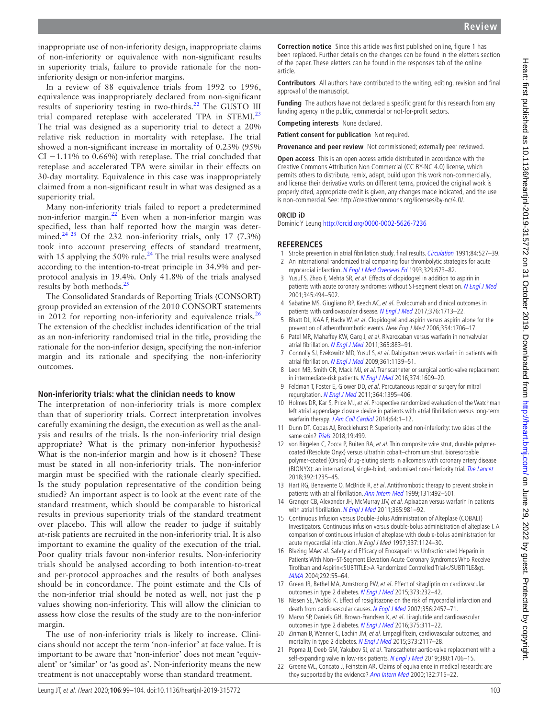inappropriate use of non-inferiority design, inappropriate claims of non-inferiority or equivalence with non-significant results in superiority trials, failure to provide rationale for the noninferiority design or non-inferior margins.

In a review of 88 equivalence trials from 1992 to 1996, equivalence was inappropriately declared from non-significant results of superiority testing in two-thirds.<sup>22</sup> The GUSTO III trial compared reteplase with accelerated TPA in STEMI. $^{23}$  $^{23}$  $^{23}$ The trial was designed as a superiority trial to detect a 20% relative risk reduction in mortality with reteplase. The trial showed a non-significant increase in mortality of 0.23% (95% CI −1.11% to 0.66%) with reteplase. The trial concluded that reteplase and accelerated TPA were similar in their effects on 30-day mortality. Equivalence in this case was inappropriately claimed from a non-significant result in what was designed as a superiority trial.

Many non-inferiority trials failed to report a predetermined non-inferior margin.<sup>22</sup> Even when a non-inferior margin was specified, less than half reported how the margin was determined.<sup>24 25</sup> Of the 232 non-inferiority trials, only 17 (7.3%) took into account preserving effects of standard treatment, with 15 applying the 50% rule.<sup>[24](#page-5-5)</sup> The trial results were analysed according to the intention-to-treat principle in 34.9% and perprotocol analysis in 19.4%. Only 41.8% of the trials analysed results by both methods.[25](#page-5-6)

The Consolidated Standards of Reporting Trials (CONSORT) group provided an extension of the 2010 CONSORT statements in 2012 for reporting non-inferiority and equivalence trials.<sup>[26](#page-5-7)</sup> The extension of the checklist includes identification of the trial as an non-inferiority randomised trial in the title, providing the rationale for the non-inferior design, specifying the non-inferior margin and its rationale and specifying the non-inferiority outcomes.

## **Non-inferiority trials: what the clinician needs to know**

The interpretation of non-inferiority trials is more complex than that of superiority trials. Correct interpretation involves carefully examining the design, the execution as well as the analysis and results of the trials. Is the non-inferiority trial design appropriate? What is the primary non-inferior hypothesis? What is the non-inferior margin and how is it chosen? These must be stated in all non-inferiority trials. The non-inferior margin must be specified with the rationale clearly specified. Is the study population representative of the condition being studied? An important aspect is to look at the event rate of the standard treatment, which should be comparable to historical results in previous superiority trials of the standard treatment over placebo. This will allow the reader to judge if suitably at-risk patients are recruited in the non-inferiority trial. It is also important to examine the quality of the execution of the trial. Poor quality trials favour non-inferior results. Non-inferiority trials should be analysed according to both intention-to-treat and per-protocol approaches and the results of both analyses should be in concordance. The point estimate and the CIs of the non-inferior trial should be noted as well, not just the p values showing non-inferiority. This will allow the clinician to assess how close the results of the study are to the non-inferior margin.

The use of non-inferiority trials is likely to increase. Clinicians should not accept the term 'non-inferior' at face value. It is important to be aware that 'non-inferior' does not mean 'equivalent' or 'similar' or 'as good as'. Non-inferiority means the new treatment is not unacceptably worse than standard treatment.

**Correction notice** Since this article was first published online, figure 1 has been replaced. Further details on the changes can be found in the eletters section of the paper. These eletters can be found in the responses tab of the online article.

**Contributors** All authors have contributed to the writing, editing, revision and final approval of the manuscript.

**Funding** The authors have not declared a specific grant for this research from any funding agency in the public, commercial or not-for-profit sectors.

**Competing interests** None declared.

**Patient consent for publication** Not required.

**Provenance and peer review** Not commissioned; externally peer reviewed.

**Open access** This is an open access article distributed in accordance with the Creative Commons Attribution Non Commercial (CC BY-NC 4.0) license, which permits others to distribute, remix, adapt, build upon this work non-commercially, and license their derivative works on different terms, provided the original work is properly cited, appropriate credit is given, any changes made indicated, and the use is non-commercial. See: [http://creativecommons.org/licenses/by-nc/4.0/.](http://creativecommons.org/licenses/by-nc/4.0/)

#### **ORCID iD**

Dominic Y Leung<http://orcid.org/0000-0002-5626-7236>

## **References**

- <span id="page-4-0"></span>1 Stroke prevention in atrial fibrillation study. final results. [Circulation](http://dx.doi.org/10.1161/01.CIR.84.2.527) 1991;84:527–39.
- <span id="page-4-1"></span>2 An international randomized trial comparing four thrombolytic strategies for acute myocardial infarction. [N Engl J Med Overseas Ed](http://dx.doi.org/10.1056/NEJM199309023291001) 1993;329:673-82.
- <span id="page-4-2"></span>3 Yusuf S, Zhao F, Mehta SR, et al. Effects of clopidogrel in addition to aspirin in patients with acute coronary syndromes without ST-segment elevation. [N Engl J Med](http://dx.doi.org/10.1056/NEJMoa010746) 2001;345:494–502.
- <span id="page-4-3"></span>4 Sabatine MS, Giugliano RP, Keech AC, et al. Evolocumab and clinical outcomes in patients with cardiovascular disease. [N Engl J Med](http://dx.doi.org/10.1056/NEJMoa1615664) 2017;376:1713-22.
- <span id="page-4-4"></span>5 Bhatt DL, KAA F, Hacke W, et al. Clopidogrel and aspirin versus aspirin alone for the prevention of atherothrombotic events. New Eng J Med 2006;354:1706–17.
- <span id="page-4-5"></span>6 Patel MR, Mahaffey KW, Garg J, et al. Rivaroxaban versus warfarin in nonvalvular atrial fibrillation. [N Engl J Med](http://dx.doi.org/10.1056/NEJMoa1009638) 2011;365:883-91.
- <span id="page-4-6"></span>7 Connolly SJ, Ezekowitz MD, Yusuf S, et al. Dabigatran versus warfarin in patients with atrial fibrillation. [N Engl J Med](http://dx.doi.org/10.1056/NEJMoa0905561) 2009;361:1139-51.
- <span id="page-4-7"></span>Leon MB, Smith CR, Mack MJ, et al. Transcatheter or surgical aortic-valve replacement in intermediate-risk patients. [N Engl J Med](http://dx.doi.org/10.1056/NEJMoa1514616) 2016;374:1609-20.
- <span id="page-4-8"></span>9 Feldman T, Foster E, Glower DD, et al. Percutaneous repair or surgery for mitral regurgitation. [N Engl J Med](http://dx.doi.org/10.1056/NEJMoa1009355) 2011;364:1395–406.
- <span id="page-4-9"></span>10 Holmes DR, Kar S, Price MJ, et al. Prospective randomized evaluation of the Watchman left atrial appendage closure device in patients with atrial fibrillation versus long-term warfarin therapy. [J Am Coll Cardiol](http://dx.doi.org/10.1016/j.jacc.2014.04.029) 2014;64:1-12.
- <span id="page-4-10"></span>11 Dunn DT, Copas AJ, Brocklehurst P. Superiority and non-inferiority: two sides of the same coin? [Trials](http://dx.doi.org/10.1186/s13063-018-2885-z) 2018;19:499.
- <span id="page-4-11"></span>12 von Birgelen C, Zocca P, Buiten RA, et al. Thin composite wire strut, durable polymercoated (Resolute Onyx) versus ultrathin cobalt–chromium strut, bioresorbable polymer-coated (Orsiro) drug-eluting stents in allcomers with coronary artery disease (BIONYX): an international, single-blind, randomised non-inferiority trial. [The Lancet](http://dx.doi.org/10.1016/S0140-6736(18)32001-4) 2018;392:1235–45.
- <span id="page-4-12"></span>13 Hart RG, Benavente O, McBride R, et al. Antithrombotic therapy to prevent stroke in patients with atrial fibrillation. [Ann Intern Med](http://dx.doi.org/10.7326/0003-4819-131-7-199910050-00003) 1999;131:492-501.
- <span id="page-4-13"></span>14 Granger CB, Alexander JH, McMurray JJV, et al. Apixaban versus warfarin in patients with atrial fibrillation. [N Engl J Med](http://dx.doi.org/10.1056/NEJMoa1107039) 2011;365:981-92.
- <span id="page-4-14"></span>15 Continuous Infusion versus Double-Bolus Administration of Alteplase (COBALT) Investigators. Continuous infusion versus double-bolus administration of alteplase I. A comparison of continuous infusion of alteplase with double-bolus administration for acute myocardial infarction. N Engl J Med 1997;337:1124–30.
- <span id="page-4-15"></span>16 Blazing MAet al. Safety and Efficacy of Enoxaparin vs Unfractionated Heparin in Patients With Non–ST-Segment Elevation Acute Coronary Syndromes Who Receive Tirofiban and Aspirin<SUBTITLE>A Randomized Controlled Trial</SUBTITLE&gt. [JAMA](http://dx.doi.org/10.1001/jama.292.1.55) 2004;292:55–64.
- <span id="page-4-16"></span>17 Green JB, Bethel MA, Armstrong PW, et al. Effect of sitagliptin on cardiovascular outcomes in type 2 diabetes. [N Engl J Med](http://dx.doi.org/10.1056/NEJMoa1501352) 2015;373:232-42.
- <span id="page-4-17"></span>18 Nissen SE, Wolski K. Effect of rosiglitazone on the risk of myocardial infarction and death from cardiovascular causes. [N Engl J Med](http://dx.doi.org/10.1056/NEJMoa072761) 2007;356:2457-71.
- <span id="page-4-18"></span>19 Marso SP, Daniels GH, Brown-Frandsen K, et al. Liraglutide and cardiovascular outcomes in type 2 diabetes. [N Engl J Med](http://dx.doi.org/10.1056/NEJMoa1603827) 2016;375:311–22.
- <span id="page-4-19"></span>20 Zinman B, Wanner C, Lachin JM, et al. Empagliflozin, cardiovascular outcomes, and mortality in type 2 diabetes. [N Engl J Med](http://dx.doi.org/10.1056/NEJMoa1504720) 2015;373:2117-28.
- <span id="page-4-20"></span>21 Popma JJ, Deeb GM, Yakubov SJ, et al. Transcatheter aortic-valve replacement with a self-expanding valve in low-risk patients. [N Engl J Med](http://dx.doi.org/10.1056/NEJMoa1816885) 2019;380:1706-15.
- <span id="page-4-21"></span>22 Greene WL, Concato J, Feinstein AR. Claims of equivalence in medical research: are they supported by the evidence? [Ann Intern Med](http://dx.doi.org/10.7326/0003-4819-132-9-200005020-00006) 2000;132:715-22.